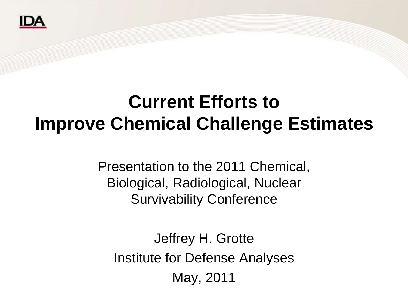

## **Current Efforts to Improve Chemical Challenge Estimates**

Presentation to the 2011 Chemical, Biological, Radiological, Nuclear Survivability Conference

Jeffrey H. Grotte Institute for Defense Analyses May, 2011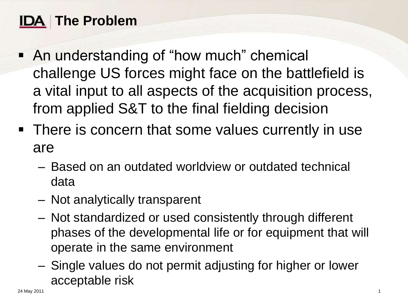### **The Problem**

- An understanding of "how much" chemical challenge US forces might face on the battlefield is a vital input to all aspects of the acquisition process, from applied S&T to the final fielding decision
- There is concern that some values currently in use are
	- Based on an outdated worldview or outdated technical data
	- Not analytically transparent
	- Not standardized or used consistently through different phases of the developmental life or for equipment that will operate in the same environment
	- Single values do not permit adjusting for higher or lower acceptable risk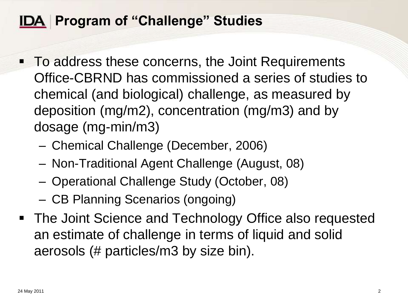#### **IDA Program of "Challenge" Studies**

- To address these concerns, the Joint Requirements Office-CBRND has commissioned a series of studies to chemical (and biological) challenge, as measured by deposition (mg/m2), concentration (mg/m3) and by dosage (mg-min/m3)
	- Chemical Challenge (December, 2006)
	- Non-Traditional Agent Challenge (August, 08)
	- Operational Challenge Study (October, 08)
	- CB Planning Scenarios (ongoing)
- The Joint Science and Technology Office also requested an estimate of challenge in terms of liquid and solid aerosols (# particles/m3 by size bin).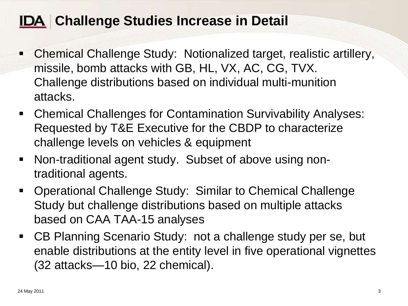#### **IDA Challenge Studies Increase in Detail**

- Chemical Challenge Study: Notionalized target, realistic artillery, missile, bomb attacks with GB, HL, VX, AC, CG, TVX. Challenge distributions based on individual multi-munition attacks.
- Chemical Challenges for Contamination Survivability Analyses: Requested by T&E Executive for the CBDP to characterize challenge levels on vehicles & equipment
- Non-traditional agent study. Subset of above using nontraditional agents.
- Operational Challenge Study: Similar to Chemical Challenge Study but challenge distributions based on multiple attacks based on CAA TAA-15 analyses
- CB Planning Scenario Study: not a challenge study per se, but enable distributions at the entity level in five operational vignettes (32 attacks—10 bio, 22 chemical).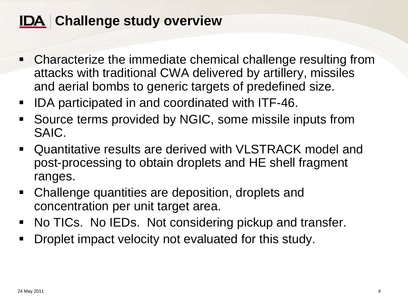#### **IDA** Challenge study overview

- Characterize the immediate chemical challenge resulting from attacks with traditional CWA delivered by artillery, missiles and aerial bombs to generic targets of predefined size.
- IDA participated in and coordinated with ITF-46.
- Source terms provided by NGIC, some missile inputs from SAIC.
- Quantitative results are derived with VLSTRACK model and post-processing to obtain droplets and HE shell fragment ranges.
- Challenge quantities are deposition, droplets and concentration per unit target area.
- No TICs. No IEDs. Not considering pickup and transfer.
- **Droplet impact velocity not evaluated for this study.**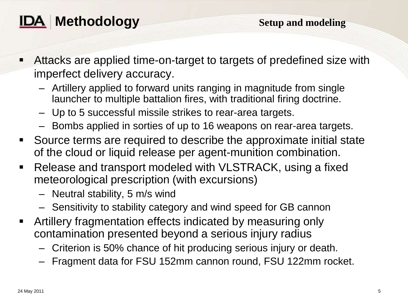

- Attacks are applied time-on-target to targets of predefined size with imperfect delivery accuracy.
	- Artillery applied to forward units ranging in magnitude from single launcher to multiple battalion fires, with traditional firing doctrine.
	- Up to 5 successful missile strikes to rear-area targets.
	- Bombs applied in sorties of up to 16 weapons on rear-area targets.
- Source terms are required to describe the approximate initial state of the cloud or liquid release per agent-munition combination.
- Release and transport modeled with VLSTRACK, using a fixed meteorological prescription (with excursions)
	- Neutral stability, 5 m/s wind
	- Sensitivity to stability category and wind speed for GB cannon
- Artillery fragmentation effects indicated by measuring only contamination presented beyond a serious injury radius
	- Criterion is 50% chance of hit producing serious injury or death.
	- Fragment data for FSU 152mm cannon round, FSU 122mm rocket.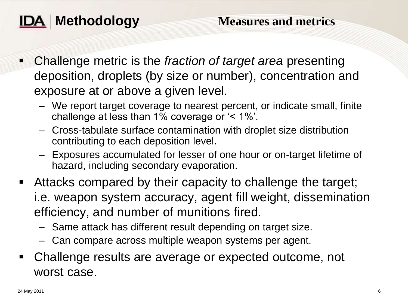

- Challenge metric is the *fraction of target area* presenting deposition, droplets (by size or number), concentration and exposure at or above a given level.
	- We report target coverage to nearest percent, or indicate small, finite challenge at less than 1% coverage or  $\leq$  1%'.
	- Cross-tabulate surface contamination with droplet size distribution contributing to each deposition level.
	- Exposures accumulated for lesser of one hour or on-target lifetime of hazard, including secondary evaporation.
- Attacks compared by their capacity to challenge the target; i.e. weapon system accuracy, agent fill weight, dissemination efficiency, and number of munitions fired.
	- Same attack has different result depending on target size.
	- Can compare across multiple weapon systems per agent.
- Challenge results are average or expected outcome, not worst case.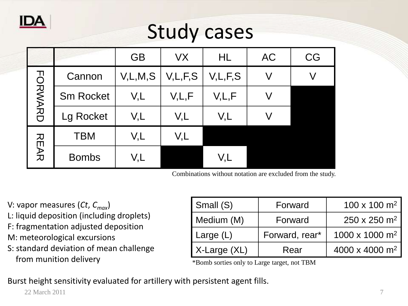

# Study cases

|                |                  | <b>GB</b>  | VX         | HL         | <b>AC</b> | CG |
|----------------|------------------|------------|------------|------------|-----------|----|
| <b>FORMARD</b> | Cannon           | V, L, M, S | V, L, F, S | V, L, F, S |           |    |
|                | <b>Sm Rocket</b> | V,L        | V, L, F    | V, L, F    |           |    |
|                | Lg Rocket        | V,L        | V,L        | V,L        |           |    |
| <b>REAR</b>    | <b>TBM</b>       | V,L        | V,L        |            |           |    |
|                | <b>Bombs</b>     | V,L        |            | V,L        |           |    |

Combinations without notation are excluded from the study.

V: vapor measures (*Ct*, *Cmax*) L: liquid deposition (including droplets) F: fragmentation adjusted deposition M: meteorological excursions

S: standard deviation of mean challenge from munition delivery

| Small (S)    | Forward        | $100 \times 100$ m <sup>2</sup> |  |  |
|--------------|----------------|---------------------------------|--|--|
| Medium (M)   | Forward        | $250 \times 250$ m <sup>2</sup> |  |  |
| Large $(L)$  | Forward, rear* | 1000 x 1000 m <sup>2</sup>      |  |  |
| X-Large (XL) | Rear           | 4000 x 4000 m <sup>2</sup>      |  |  |

\*Bomb sorties only to Large target, not TBM

Burst height sensitivity evaluated for artillery with persistent agent fills.

22 March 2011 **7**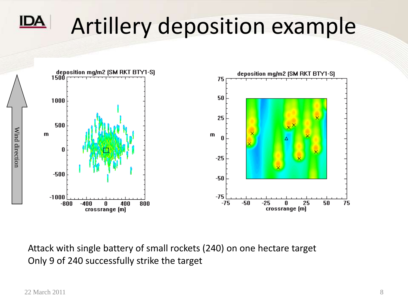# Artillery deposition example



Attack with single battery of small rockets (240) on one hectare target Only 9 of 240 successfully strike the target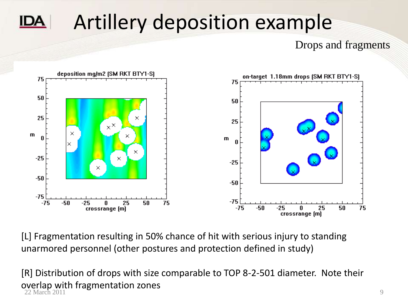# Artillery deposition example

Drops and fragments



[L] Fragmentation resulting in 50% chance of hit with serious injury to standing unarmored personnel (other postures and protection defined in study)

[R] Distribution of drops with size comparable to TOP 8-2-501 diameter. Note their overlap with fragmentation zones 22 March 2011 **9** 9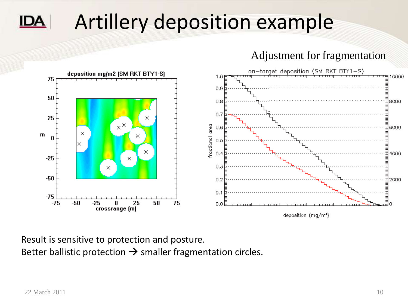# Artillery deposition example

Adjustment for fragmentation



Result is sensitive to protection and posture. Better ballistic protection  $\rightarrow$  smaller fragmentation circles.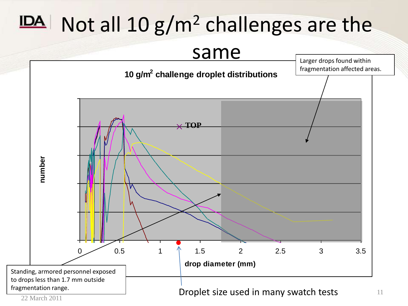# $IDA$  Not all 10  $g/m^2$  challenges are the



<sup>22</sup> March 2011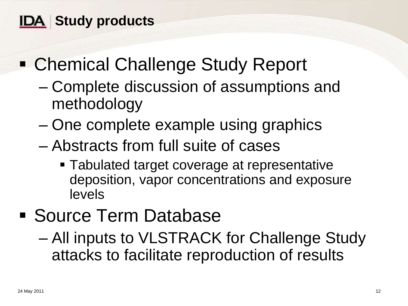### **IDA** Study products

## ■ Chemical Challenge Study Report

- Complete discussion of assumptions and methodology
- One complete example using graphics
- Abstracts from full suite of cases
	- Tabulated target coverage at representative deposition, vapor concentrations and exposure levels

### Source Term Database

– All inputs to VLSTRACK for Challenge Study attacks to facilitate reproduction of results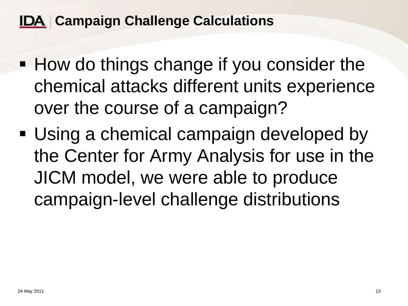#### **IDA Campaign Challenge Calculations**

- **How do things change if you consider the** chemical attacks different units experience over the course of a campaign?
- Using a chemical campaign developed by the Center for Army Analysis for use in the JICM model, we were able to produce campaign-level challenge distributions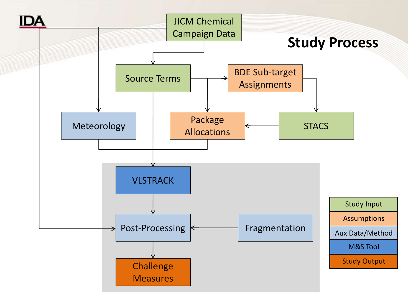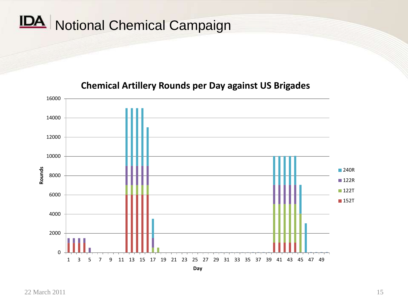# IDA Notional Chemical Campaign

#### $\Omega$ 2000 4000 6000 8000 10000 12000 14000 16000 1 3 5 7 9 11 13 15 17 19 21 23 25 27 29 31 33 35 37 39 41 43 45 47 49 **Rounds Day** 240R ■122R ■122T ■152T

#### **Chemical Artillery Rounds per Day against US Brigades**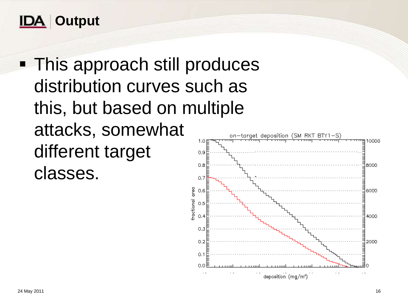

• This approach still produces distribution curves such as this, but based on multiple attacks, somewhat different target  $0.9$  $0.8$ classes.  $0.7$ 

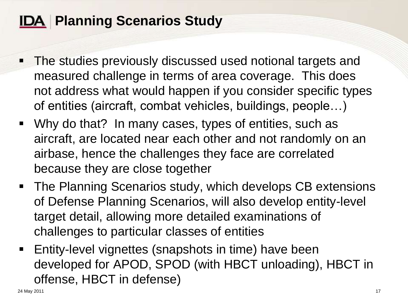### **IDA Planning Scenarios Study**

- **The studies previously discussed used notional targets and** measured challenge in terms of area coverage. This does not address what would happen if you consider specific types of entities (aircraft, combat vehicles, buildings, people…)
- Why do that? In many cases, types of entities, such as aircraft, are located near each other and not randomly on an airbase, hence the challenges they face are correlated because they are close together
- **The Planning Scenarios study, which develops CB extensions** of Defense Planning Scenarios, will also develop entity-level target detail, allowing more detailed examinations of challenges to particular classes of entities
- **Entity-level vignettes (snapshots in time) have been** developed for APOD, SPOD (with HBCT unloading), HBCT in offense, HBCT in defense)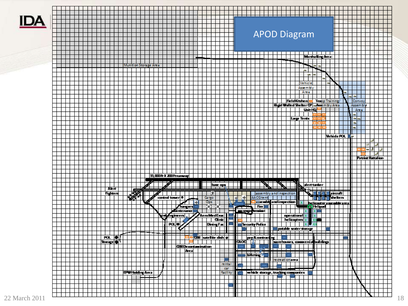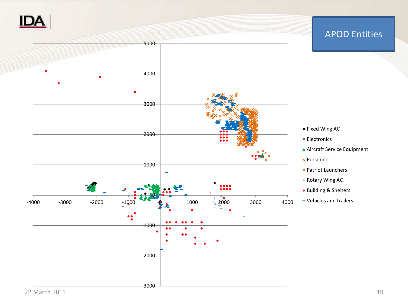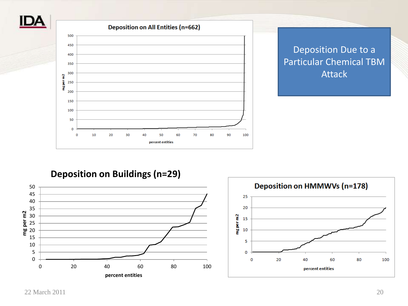



**Deposition on Buildings (n=29)**



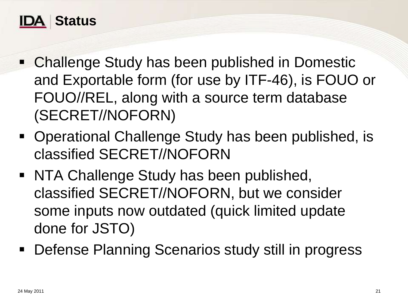

- Challenge Study has been published in Domestic and Exportable form (for use by ITF-46), is FOUO or FOUO//REL, along with a source term database (SECRET//NOFORN)
- Operational Challenge Study has been published, is classified SECRET//NOFORN
- NTA Challenge Study has been published, classified SECRET//NOFORN, but we consider some inputs now outdated (quick limited update done for JSTO)
- Defense Planning Scenarios study still in progress